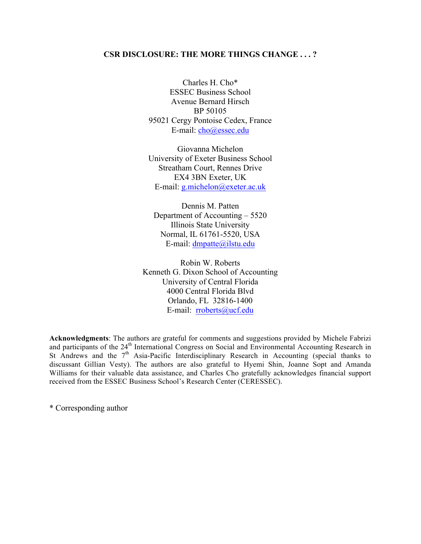### **CSR DISCLOSURE: THE MORE THINGS CHANGE . . . ?**

Charles H. Cho\* ESSEC Business School Avenue Bernard Hirsch BP 50105 95021 Cergy Pontoise Cedex, France E-mail: cho@essec.edu

Giovanna Michelon University of Exeter Business School Streatham Court, Rennes Drive EX4 3BN Exeter, UK E-mail: g.michelon@exeter.ac.uk

Dennis M. Patten Department of Accounting – 5520 Illinois State University Normal, IL 61761-5520, USA E-mail: dmpatte@ilstu.edu

Robin W. Roberts Kenneth G. Dixon School of Accounting University of Central Florida 4000 Central Florida Blvd Orlando, FL 32816-1400 E-mail: rroberts@ucf.edu

**Acknowledgments**: The authors are grateful for comments and suggestions provided by Michele Fabrizi and participants of the 24<sup>th</sup> International Congress on Social and Environmental Accounting Research in St Andrews and the  $7<sup>th</sup>$  Asia-Pacific Interdisciplinary Research in Accounting (special thanks to discussant Gillian Vesty). The authors are also grateful to Hyemi Shin, Joanne Sopt and Amanda Williams for their valuable data assistance, and Charles Cho gratefully acknowledges financial support received from the ESSEC Business School's Research Center (CERESSEC).

\* Corresponding author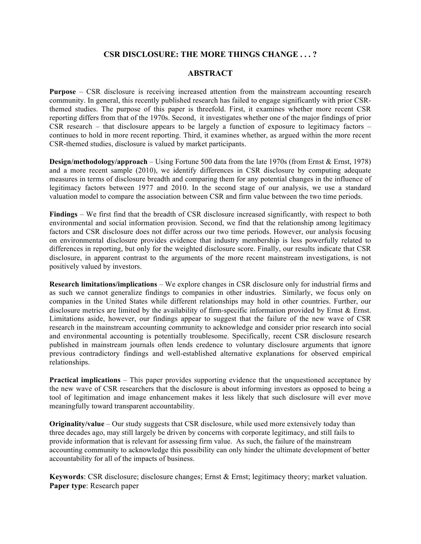### **CSR DISCLOSURE: THE MORE THINGS CHANGE . . . ?**

### **ABSTRACT**

**Purpose** – CSR disclosure is receiving increased attention from the mainstream accounting research community. In general, this recently published research has failed to engage significantly with prior CSRthemed studies. The purpose of this paper is threefold. First, it examines whether more recent CSR reporting differs from that of the 1970s. Second, it investigates whether one of the major findings of prior  $\overline{CSR}$  research – that disclosure appears to be largely a function of exposure to legitimacy factors – continues to hold in more recent reporting. Third, it examines whether, as argued within the more recent CSR-themed studies, disclosure is valued by market participants.

**Design/methodology/approach** – Using Fortune 500 data from the late 1970s (from Ernst & Ernst, 1978) and a more recent sample (2010), we identify differences in CSR disclosure by computing adequate measures in terms of disclosure breadth and comparing them for any potential changes in the influence of legitimacy factors between 1977 and 2010. In the second stage of our analysis, we use a standard valuation model to compare the association between CSR and firm value between the two time periods.

**Findings** – We first find that the breadth of CSR disclosure increased significantly, with respect to both environmental and social information provision. Second, we find that the relationship among legitimacy factors and CSR disclosure does not differ across our two time periods. However, our analysis focusing on environmental disclosure provides evidence that industry membership is less powerfully related to differences in reporting, but only for the weighted disclosure score. Finally, our results indicate that CSR disclosure, in apparent contrast to the arguments of the more recent mainstream investigations, is not positively valued by investors.

**Research limitations/implications** – We explore changes in CSR disclosure only for industrial firms and as such we cannot generalize findings to companies in other industries. Similarly, we focus only on companies in the United States while different relationships may hold in other countries. Further, our disclosure metrics are limited by the availability of firm-specific information provided by Ernst & Ernst. Limitations aside, however, our findings appear to suggest that the failure of the new wave of CSR research in the mainstream accounting community to acknowledge and consider prior research into social and environmental accounting is potentially troublesome. Specifically, recent CSR disclosure research published in mainstream journals often lends credence to voluntary disclosure arguments that ignore previous contradictory findings and well-established alternative explanations for observed empirical relationships.

**Practical implications** – This paper provides supporting evidence that the unquestioned acceptance by the new wave of CSR researchers that the disclosure is about informing investors as opposed to being a tool of legitimation and image enhancement makes it less likely that such disclosure will ever move meaningfully toward transparent accountability.

**Originality/value** – Our study suggests that CSR disclosure, while used more extensively today than three decades ago, may still largely be driven by concerns with corporate legitimacy, and still fails to provide information that is relevant for assessing firm value. As such, the failure of the mainstream accounting community to acknowledge this possibility can only hinder the ultimate development of better accountability for all of the impacts of business.

**Keywords**: CSR disclosure; disclosure changes; Ernst & Ernst; legitimacy theory; market valuation. **Paper type**: Research paper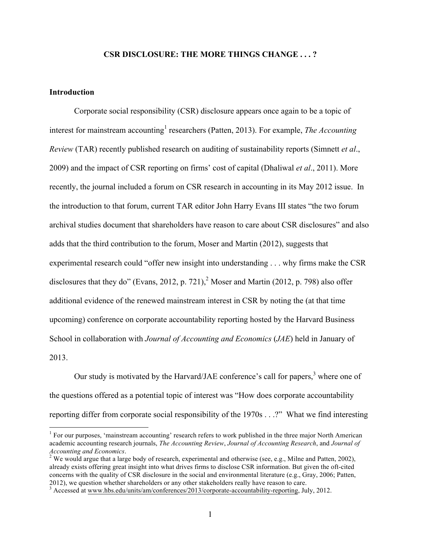### **CSR DISCLOSURE: THE MORE THINGS CHANGE . . . ?**

### **Introduction**

Corporate social responsibility (CSR) disclosure appears once again to be a topic of interest for mainstream accounting<sup>1</sup> researchers (Patten, 2013). For example, *The Accounting Review* (TAR) recently published research on auditing of sustainability reports (Simnett *et al*., 2009) and the impact of CSR reporting on firms' cost of capital (Dhaliwal *et al*., 2011). More recently, the journal included a forum on CSR research in accounting in its May 2012 issue. In the introduction to that forum, current TAR editor John Harry Evans III states "the two forum archival studies document that shareholders have reason to care about CSR disclosures" and also adds that the third contribution to the forum, Moser and Martin (2012), suggests that experimental research could "offer new insight into understanding . . . why firms make the CSR disclosures that they do" (Evans, 2012, p. 721),<sup>2</sup> Moser and Martin (2012, p. 798) also offer additional evidence of the renewed mainstream interest in CSR by noting the (at that time upcoming) conference on corporate accountability reporting hosted by the Harvard Business School in collaboration with *Journal of Accounting and Economics* (*JAE*) held in January of 2013.

Our study is motivated by the Harvard/JAE conference's call for papers,  $3$  where one of the questions offered as a potential topic of interest was "How does corporate accountability reporting differ from corporate social responsibility of the 1970s . . .?" What we find interesting

<sup>&</sup>lt;sup>1</sup> For our purposes, 'mainstream accounting' research refers to work published in the three major North American academic accounting research journals, *The Accounting Review*, *Journal of Accounting Research*, and *Journal of* 

<sup>&</sup>lt;sup>2</sup> We would argue that a large body of research, experimental and otherwise (see, e.g., Milne and Patten, 2002), already exists offering great insight into what drives firms to disclose CSR information. But given the oft-cited concerns with the quality of CSR disclosure in the social and environmental literature (e.g., Gray, 2006; Patten, 2012), we question whether shareholders or any other stakeholders really have reason to care.<br><sup>3</sup> Accessed at www.hbs.edu/units/am/conferences/2013/corporate-accountability-reporting, July, 2012.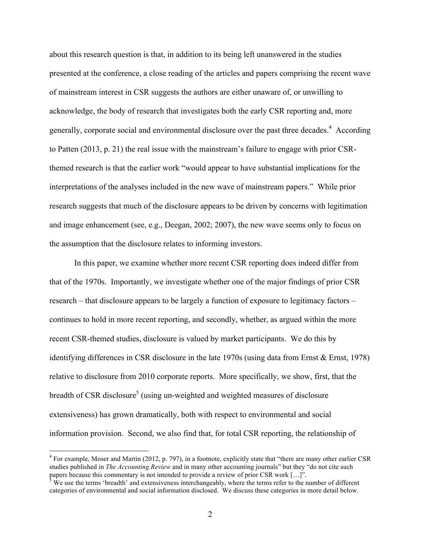about this research question is that, in addition to its being left unanswered in the studies presented at the conference, a close reading of the articles and papers comprising the recent wave of mainstream interest in CSR suggests the authors are either unaware of, or unwilling to acknowledge, the body of research that investigates both the early CSR reporting and, more generally, corporate social and environmental disclosure over the past three decades.<sup>4</sup> According to Patten (2013, p. 21) the real issue with the mainstream's failure to engage with prior CSRthemed research is that the earlier work "would appear to have substantial implications for the interpretations of the analyses included in the new wave of mainstream papers." While prior research suggests that much of the disclosure appears to be driven by concerns with legitimation and image enhancement (see, e.g., Deegan, 2002; 2007), the new wave seems only to focus on the assumption that the disclosure relates to informing investors.

In this paper, we examine whether more recent CSR reporting does indeed differ from that of the 1970s. Importantly, we investigate whether one of the major findings of prior CSR research – that disclosure appears to be largely a function of exposure to legitimacy factors – continues to hold in more recent reporting, and secondly, whether, as argued within the more recent CSR-themed studies, disclosure is valued by market participants. We do this by identifying differences in CSR disclosure in the late 1970s (using data from Ernst & Ernst, 1978) relative to disclosure from 2010 corporate reports. More specifically, we show, first, that the breadth of CSR disclosure<sup>5</sup> (using un-weighted and weighted measures of disclosure extensiveness) has grown dramatically, both with respect to environmental and social information provision. Second, we also find that, for total CSR reporting, the relationship of

<sup>&</sup>lt;sup>4</sup> For example, Moser and Martin (2012, p. 797), in a footnote, explicitly state that "there are many other earlier CSR studies published in *The Accounting Review* and in many other accounting journals" but they "do not cite such papers because this commentary is not intended to provide a review of prior CSR work  $[...]$ .<br><sup>5</sup> We use the terms 'breadth' and extensiveness interchangeably, where the terms refer to the number of different

categories of environmental and social information disclosed. We discuss these categories in more detail below.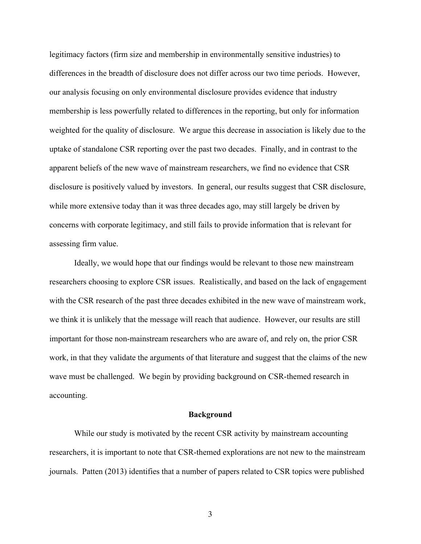legitimacy factors (firm size and membership in environmentally sensitive industries) to differences in the breadth of disclosure does not differ across our two time periods. However, our analysis focusing on only environmental disclosure provides evidence that industry membership is less powerfully related to differences in the reporting, but only for information weighted for the quality of disclosure. We argue this decrease in association is likely due to the uptake of standalone CSR reporting over the past two decades. Finally, and in contrast to the apparent beliefs of the new wave of mainstream researchers, we find no evidence that CSR disclosure is positively valued by investors. In general, our results suggest that CSR disclosure, while more extensive today than it was three decades ago, may still largely be driven by concerns with corporate legitimacy, and still fails to provide information that is relevant for assessing firm value.

Ideally, we would hope that our findings would be relevant to those new mainstream researchers choosing to explore CSR issues. Realistically, and based on the lack of engagement with the CSR research of the past three decades exhibited in the new wave of mainstream work, we think it is unlikely that the message will reach that audience. However, our results are still important for those non-mainstream researchers who are aware of, and rely on, the prior CSR work, in that they validate the arguments of that literature and suggest that the claims of the new wave must be challenged. We begin by providing background on CSR-themed research in accounting.

### **Background**

While our study is motivated by the recent CSR activity by mainstream accounting researchers, it is important to note that CSR-themed explorations are not new to the mainstream journals. Patten (2013) identifies that a number of papers related to CSR topics were published

3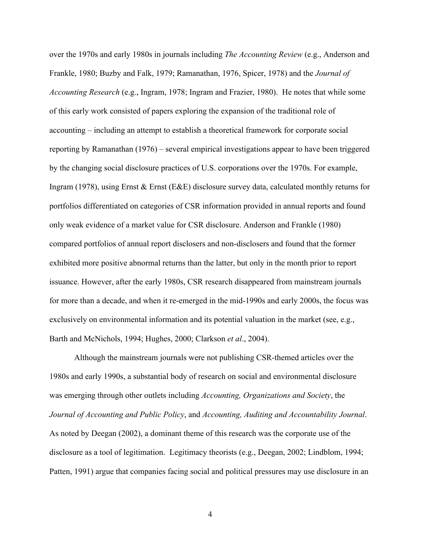over the 1970s and early 1980s in journals including *The Accounting Review* (e.g., Anderson and Frankle, 1980; Buzby and Falk, 1979; Ramanathan, 1976, Spicer, 1978) and the *Journal of Accounting Research* (e.g., Ingram, 1978; Ingram and Frazier, 1980). He notes that while some of this early work consisted of papers exploring the expansion of the traditional role of accounting – including an attempt to establish a theoretical framework for corporate social reporting by Ramanathan (1976) – several empirical investigations appear to have been triggered by the changing social disclosure practices of U.S. corporations over the 1970s. For example, Ingram (1978), using Ernst & Ernst (E&E) disclosure survey data, calculated monthly returns for portfolios differentiated on categories of CSR information provided in annual reports and found only weak evidence of a market value for CSR disclosure. Anderson and Frankle (1980) compared portfolios of annual report disclosers and non-disclosers and found that the former exhibited more positive abnormal returns than the latter, but only in the month prior to report issuance. However, after the early 1980s, CSR research disappeared from mainstream journals for more than a decade, and when it re-emerged in the mid-1990s and early 2000s, the focus was exclusively on environmental information and its potential valuation in the market (see, e.g., Barth and McNichols, 1994; Hughes, 2000; Clarkson *et al*., 2004).

Although the mainstream journals were not publishing CSR-themed articles over the 1980s and early 1990s, a substantial body of research on social and environmental disclosure was emerging through other outlets including *Accounting, Organizations and Society*, the *Journal of Accounting and Public Policy*, and *Accounting, Auditing and Accountability Journal*. As noted by Deegan (2002), a dominant theme of this research was the corporate use of the disclosure as a tool of legitimation. Legitimacy theorists (e.g., Deegan, 2002; Lindblom, 1994; Patten, 1991) argue that companies facing social and political pressures may use disclosure in an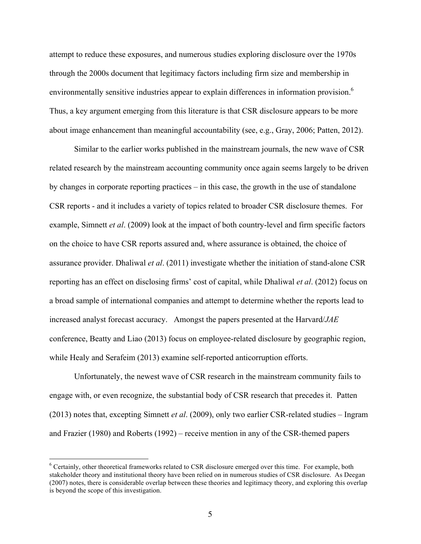attempt to reduce these exposures, and numerous studies exploring disclosure over the 1970s through the 2000s document that legitimacy factors including firm size and membership in environmentally sensitive industries appear to explain differences in information provision.<sup>6</sup> Thus, a key argument emerging from this literature is that CSR disclosure appears to be more about image enhancement than meaningful accountability (see, e.g., Gray, 2006; Patten, 2012).

Similar to the earlier works published in the mainstream journals, the new wave of CSR related research by the mainstream accounting community once again seems largely to be driven by changes in corporate reporting practices – in this case, the growth in the use of standalone CSR reports - and it includes a variety of topics related to broader CSR disclosure themes. For example, Simnett *et al*. (2009) look at the impact of both country-level and firm specific factors on the choice to have CSR reports assured and, where assurance is obtained, the choice of assurance provider. Dhaliwal *et al*. (2011) investigate whether the initiation of stand-alone CSR reporting has an effect on disclosing firms' cost of capital, while Dhaliwal *et al*. (2012) focus on a broad sample of international companies and attempt to determine whether the reports lead to increased analyst forecast accuracy. Amongst the papers presented at the Harvard/*JAE* conference, Beatty and Liao (2013) focus on employee-related disclosure by geographic region, while Healy and Serafeim (2013) examine self-reported anticorruption efforts.

Unfortunately, the newest wave of CSR research in the mainstream community fails to engage with, or even recognize, the substantial body of CSR research that precedes it. Patten (2013) notes that, excepting Simnett *et al*. (2009), only two earlier CSR-related studies – Ingram and Frazier (1980) and Roberts (1992) – receive mention in any of the CSR-themed papers

 <sup>6</sup> Certainly, other theoretical frameworks related to CSR disclosure emerged over this time. For example, both stakeholder theory and institutional theory have been relied on in numerous studies of CSR disclosure. As Deegan (2007) notes, there is considerable overlap between these theories and legitimacy theory, and exploring this overlap is beyond the scope of this investigation.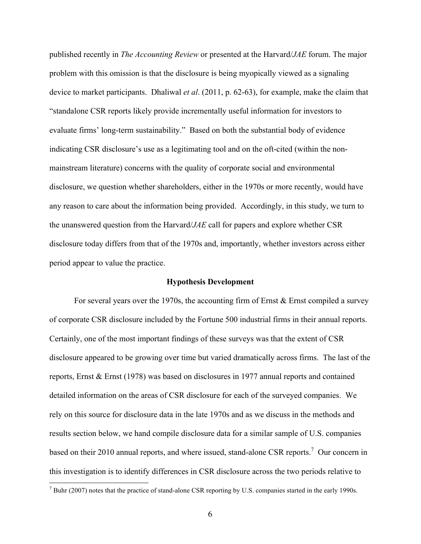published recently in *The Accounting Review* or presented at the Harvard/*JAE* forum. The major problem with this omission is that the disclosure is being myopically viewed as a signaling device to market participants. Dhaliwal *et al*. (2011, p. 62-63), for example, make the claim that "standalone CSR reports likely provide incrementally useful information for investors to evaluate firms' long-term sustainability." Based on both the substantial body of evidence indicating CSR disclosure's use as a legitimating tool and on the oft-cited (within the nonmainstream literature) concerns with the quality of corporate social and environmental disclosure, we question whether shareholders, either in the 1970s or more recently, would have any reason to care about the information being provided. Accordingly, in this study, we turn to the unanswered question from the Harvard/*JAE* call for papers and explore whether CSR disclosure today differs from that of the 1970s and, importantly, whether investors across either period appear to value the practice.

#### **Hypothesis Development**

For several years over the 1970s, the accounting firm of Ernst  $\&$  Ernst compiled a survey of corporate CSR disclosure included by the Fortune 500 industrial firms in their annual reports. Certainly, one of the most important findings of these surveys was that the extent of CSR disclosure appeared to be growing over time but varied dramatically across firms. The last of the reports, Ernst & Ernst (1978) was based on disclosures in 1977 annual reports and contained detailed information on the areas of CSR disclosure for each of the surveyed companies. We rely on this source for disclosure data in the late 1970s and as we discuss in the methods and results section below, we hand compile disclosure data for a similar sample of U.S. companies based on their 2010 annual reports, and where issued, stand-alone CSR reports.<sup>7</sup> Our concern in this investigation is to identify differences in CSR disclosure across the two periods relative to

 $7$  Buhr (2007) notes that the practice of stand-alone CSR reporting by U.S. companies started in the early 1990s.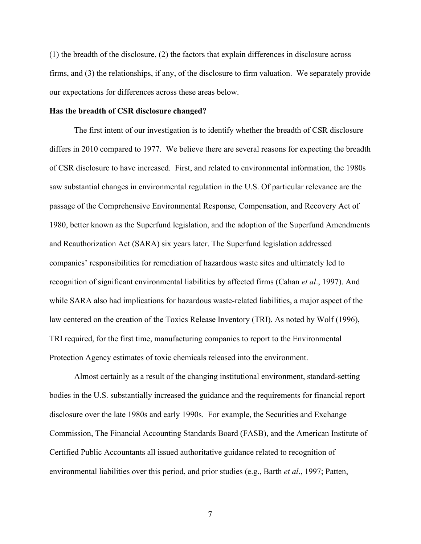(1) the breadth of the disclosure, (2) the factors that explain differences in disclosure across firms, and (3) the relationships, if any, of the disclosure to firm valuation. We separately provide our expectations for differences across these areas below.

#### **Has the breadth of CSR disclosure changed?**

The first intent of our investigation is to identify whether the breadth of CSR disclosure differs in 2010 compared to 1977. We believe there are several reasons for expecting the breadth of CSR disclosure to have increased. First, and related to environmental information, the 1980s saw substantial changes in environmental regulation in the U.S. Of particular relevance are the passage of the Comprehensive Environmental Response, Compensation, and Recovery Act of 1980, better known as the Superfund legislation, and the adoption of the Superfund Amendments and Reauthorization Act (SARA) six years later. The Superfund legislation addressed companies' responsibilities for remediation of hazardous waste sites and ultimately led to recognition of significant environmental liabilities by affected firms (Cahan *et al*., 1997). And while SARA also had implications for hazardous waste-related liabilities, a major aspect of the law centered on the creation of the Toxics Release Inventory (TRI). As noted by Wolf (1996), TRI required, for the first time, manufacturing companies to report to the Environmental Protection Agency estimates of toxic chemicals released into the environment.

Almost certainly as a result of the changing institutional environment, standard-setting bodies in the U.S. substantially increased the guidance and the requirements for financial report disclosure over the late 1980s and early 1990s. For example, the Securities and Exchange Commission, The Financial Accounting Standards Board (FASB), and the American Institute of Certified Public Accountants all issued authoritative guidance related to recognition of environmental liabilities over this period, and prior studies (e.g., Barth *et al*., 1997; Patten,

7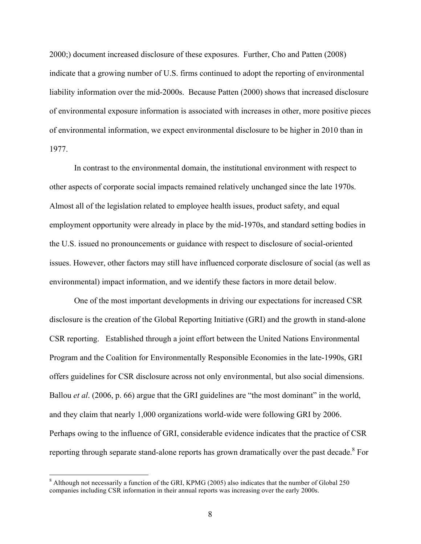2000;) document increased disclosure of these exposures. Further, Cho and Patten (2008) indicate that a growing number of U.S. firms continued to adopt the reporting of environmental liability information over the mid-2000s. Because Patten (2000) shows that increased disclosure of environmental exposure information is associated with increases in other, more positive pieces of environmental information, we expect environmental disclosure to be higher in 2010 than in 1977.

In contrast to the environmental domain, the institutional environment with respect to other aspects of corporate social impacts remained relatively unchanged since the late 1970s. Almost all of the legislation related to employee health issues, product safety, and equal employment opportunity were already in place by the mid-1970s, and standard setting bodies in the U.S. issued no pronouncements or guidance with respect to disclosure of social-oriented issues. However, other factors may still have influenced corporate disclosure of social (as well as environmental) impact information, and we identify these factors in more detail below.

One of the most important developments in driving our expectations for increased CSR disclosure is the creation of the Global Reporting Initiative (GRI) and the growth in stand-alone CSR reporting. Established through a joint effort between the United Nations Environmental Program and the Coalition for Environmentally Responsible Economies in the late-1990s, GRI offers guidelines for CSR disclosure across not only environmental, but also social dimensions. Ballou *et al*. (2006, p. 66) argue that the GRI guidelines are "the most dominant" in the world, and they claim that nearly 1,000 organizations world-wide were following GRI by 2006. Perhaps owing to the influence of GRI, considerable evidence indicates that the practice of CSR reporting through separate stand-alone reports has grown dramatically over the past decade.<sup>8</sup> For

<sup>&</sup>lt;sup>8</sup> Although not necessarily a function of the GRI, KPMG (2005) also indicates that the number of Global 250 companies including CSR information in their annual reports was increasing over the early 2000s.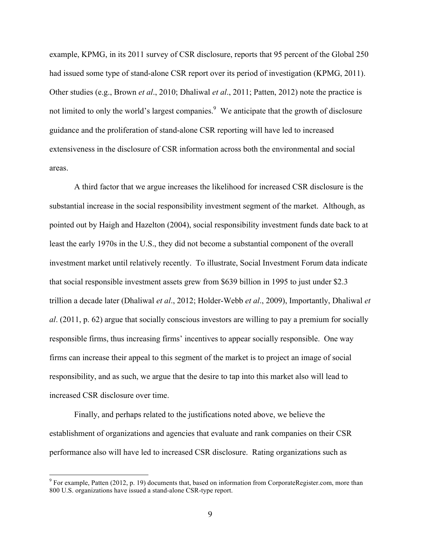example, KPMG, in its 2011 survey of CSR disclosure, reports that 95 percent of the Global 250 had issued some type of stand-alone CSR report over its period of investigation (KPMG, 2011). Other studies (e.g., Brown *et al*., 2010; Dhaliwal *et al*., 2011; Patten, 2012) note the practice is not limited to only the world's largest companies.<sup>9</sup> We anticipate that the growth of disclosure guidance and the proliferation of stand-alone CSR reporting will have led to increased extensiveness in the disclosure of CSR information across both the environmental and social areas.

A third factor that we argue increases the likelihood for increased CSR disclosure is the substantial increase in the social responsibility investment segment of the market. Although, as pointed out by Haigh and Hazelton (2004), social responsibility investment funds date back to at least the early 1970s in the U.S., they did not become a substantial component of the overall investment market until relatively recently. To illustrate, Social Investment Forum data indicate that social responsible investment assets grew from \$639 billion in 1995 to just under \$2.3 trillion a decade later (Dhaliwal *et al*., 2012; Holder-Webb *et al*., 2009), Importantly, Dhaliwal *et al*. (2011, p. 62) argue that socially conscious investors are willing to pay a premium for socially responsible firms, thus increasing firms' incentives to appear socially responsible. One way firms can increase their appeal to this segment of the market is to project an image of social responsibility, and as such, we argue that the desire to tap into this market also will lead to increased CSR disclosure over time.

Finally, and perhaps related to the justifications noted above, we believe the establishment of organizations and agencies that evaluate and rank companies on their CSR performance also will have led to increased CSR disclosure. Rating organizations such as

<sup>&</sup>lt;sup>9</sup> For example, Patten (2012, p. 19) documents that, based on information from CorporateRegister.com, more than 800 U.S. organizations have issued a stand-alone CSR-type report.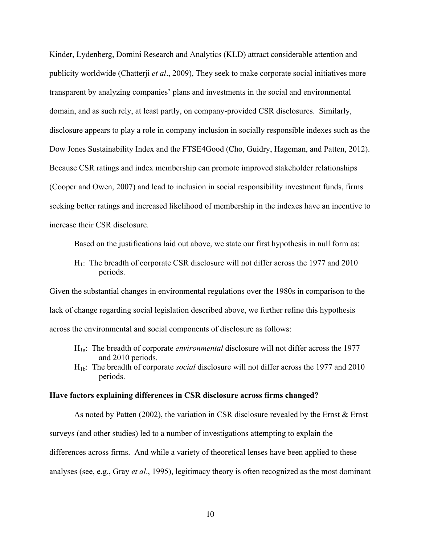Kinder, Lydenberg, Domini Research and Analytics (KLD) attract considerable attention and publicity worldwide (Chatterji *et al*., 2009), They seek to make corporate social initiatives more transparent by analyzing companies' plans and investments in the social and environmental domain, and as such rely, at least partly, on company-provided CSR disclosures. Similarly, disclosure appears to play a role in company inclusion in socially responsible indexes such as the Dow Jones Sustainability Index and the FTSE4Good (Cho, Guidry, Hageman, and Patten, 2012). Because CSR ratings and index membership can promote improved stakeholder relationships (Cooper and Owen, 2007) and lead to inclusion in social responsibility investment funds, firms seeking better ratings and increased likelihood of membership in the indexes have an incentive to increase their CSR disclosure.

Based on the justifications laid out above, we state our first hypothesis in null form as:

H1: The breadth of corporate CSR disclosure will not differ across the 1977 and 2010 periods.

Given the substantial changes in environmental regulations over the 1980s in comparison to the lack of change regarding social legislation described above, we further refine this hypothesis across the environmental and social components of disclosure as follows:

- H1a: The breadth of corporate *environmental* disclosure will not differ across the 1977 and 2010 periods.
- H1b: The breadth of corporate *social* disclosure will not differ across the 1977 and 2010 periods.

#### **Have factors explaining differences in CSR disclosure across firms changed?**

As noted by Patten (2002), the variation in CSR disclosure revealed by the Ernst & Ernst surveys (and other studies) led to a number of investigations attempting to explain the differences across firms. And while a variety of theoretical lenses have been applied to these analyses (see, e.g., Gray *et al*., 1995), legitimacy theory is often recognized as the most dominant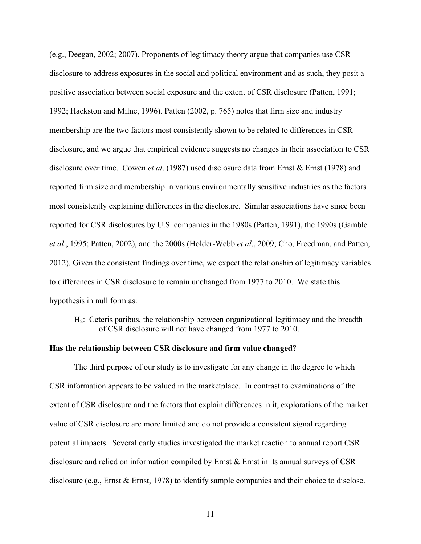(e.g., Deegan, 2002; 2007), Proponents of legitimacy theory argue that companies use CSR disclosure to address exposures in the social and political environment and as such, they posit a positive association between social exposure and the extent of CSR disclosure (Patten, 1991; 1992; Hackston and Milne, 1996). Patten (2002, p. 765) notes that firm size and industry membership are the two factors most consistently shown to be related to differences in CSR disclosure, and we argue that empirical evidence suggests no changes in their association to CSR disclosure over time. Cowen *et al*. (1987) used disclosure data from Ernst & Ernst (1978) and reported firm size and membership in various environmentally sensitive industries as the factors most consistently explaining differences in the disclosure. Similar associations have since been reported for CSR disclosures by U.S. companies in the 1980s (Patten, 1991), the 1990s (Gamble *et al*., 1995; Patten, 2002), and the 2000s (Holder-Webb *et al*., 2009; Cho, Freedman, and Patten, 2012). Given the consistent findings over time, we expect the relationship of legitimacy variables to differences in CSR disclosure to remain unchanged from 1977 to 2010. We state this hypothesis in null form as:

H2: Ceteris paribus, the relationship between organizational legitimacy and the breadth of CSR disclosure will not have changed from 1977 to 2010.

### **Has the relationship between CSR disclosure and firm value changed?**

The third purpose of our study is to investigate for any change in the degree to which CSR information appears to be valued in the marketplace. In contrast to examinations of the extent of CSR disclosure and the factors that explain differences in it, explorations of the market value of CSR disclosure are more limited and do not provide a consistent signal regarding potential impacts. Several early studies investigated the market reaction to annual report CSR disclosure and relied on information compiled by Ernst & Ernst in its annual surveys of CSR disclosure (e.g., Ernst & Ernst, 1978) to identify sample companies and their choice to disclose.

11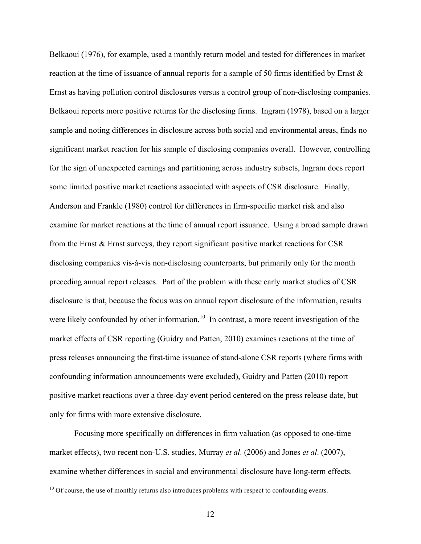Belkaoui (1976), for example, used a monthly return model and tested for differences in market reaction at the time of issuance of annual reports for a sample of 50 firms identified by Ernst & Ernst as having pollution control disclosures versus a control group of non-disclosing companies. Belkaoui reports more positive returns for the disclosing firms. Ingram (1978), based on a larger sample and noting differences in disclosure across both social and environmental areas, finds no significant market reaction for his sample of disclosing companies overall. However, controlling for the sign of unexpected earnings and partitioning across industry subsets, Ingram does report some limited positive market reactions associated with aspects of CSR disclosure. Finally, Anderson and Frankle (1980) control for differences in firm-specific market risk and also examine for market reactions at the time of annual report issuance. Using a broad sample drawn from the Ernst & Ernst surveys, they report significant positive market reactions for CSR disclosing companies vis-à-vis non-disclosing counterparts, but primarily only for the month preceding annual report releases. Part of the problem with these early market studies of CSR disclosure is that, because the focus was on annual report disclosure of the information, results were likely confounded by other information.<sup>10</sup> In contrast, a more recent investigation of the market effects of CSR reporting (Guidry and Patten, 2010) examines reactions at the time of press releases announcing the first-time issuance of stand-alone CSR reports (where firms with confounding information announcements were excluded), Guidry and Patten (2010) report positive market reactions over a three-day event period centered on the press release date, but only for firms with more extensive disclosure.

Focusing more specifically on differences in firm valuation (as opposed to one-time market effects), two recent non-U.S. studies, Murray *et al*. (2006) and Jones *et al*. (2007), examine whether differences in social and environmental disclosure have long-term effects.

 $10$  Of course, the use of monthly returns also introduces problems with respect to confounding events.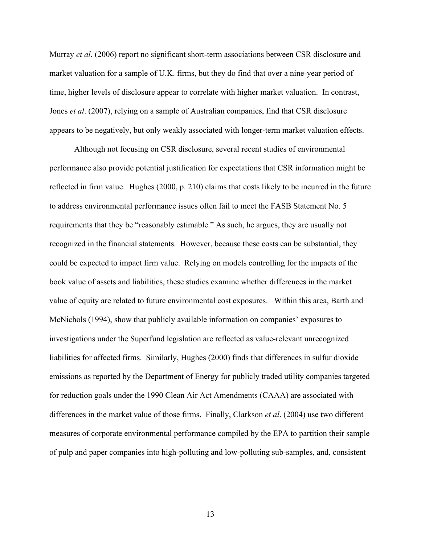Murray *et al*. (2006) report no significant short-term associations between CSR disclosure and market valuation for a sample of U.K. firms, but they do find that over a nine-year period of time, higher levels of disclosure appear to correlate with higher market valuation. In contrast, Jones *et al*. (2007), relying on a sample of Australian companies, find that CSR disclosure appears to be negatively, but only weakly associated with longer-term market valuation effects.

Although not focusing on CSR disclosure, several recent studies of environmental performance also provide potential justification for expectations that CSR information might be reflected in firm value. Hughes (2000, p. 210) claims that costs likely to be incurred in the future to address environmental performance issues often fail to meet the FASB Statement No. 5 requirements that they be "reasonably estimable." As such, he argues, they are usually not recognized in the financial statements. However, because these costs can be substantial, they could be expected to impact firm value. Relying on models controlling for the impacts of the book value of assets and liabilities, these studies examine whether differences in the market value of equity are related to future environmental cost exposures. Within this area, Barth and McNichols (1994), show that publicly available information on companies' exposures to investigations under the Superfund legislation are reflected as value-relevant unrecognized liabilities for affected firms. Similarly, Hughes (2000) finds that differences in sulfur dioxide emissions as reported by the Department of Energy for publicly traded utility companies targeted for reduction goals under the 1990 Clean Air Act Amendments (CAAA) are associated with differences in the market value of those firms. Finally, Clarkson *et al*. (2004) use two different measures of corporate environmental performance compiled by the EPA to partition their sample of pulp and paper companies into high-polluting and low-polluting sub-samples, and, consistent

13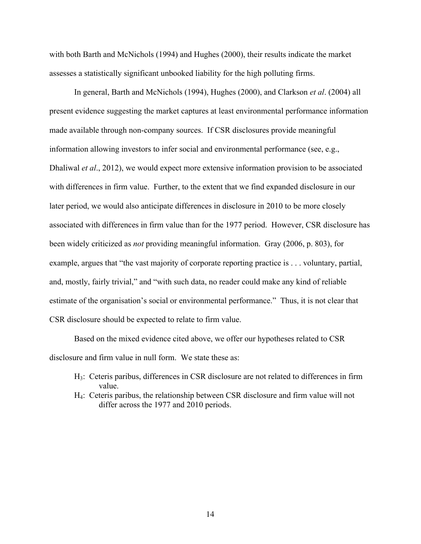with both Barth and McNichols (1994) and Hughes (2000), their results indicate the market assesses a statistically significant unbooked liability for the high polluting firms.

In general, Barth and McNichols (1994), Hughes (2000), and Clarkson *et al*. (2004) all present evidence suggesting the market captures at least environmental performance information made available through non-company sources. If CSR disclosures provide meaningful information allowing investors to infer social and environmental performance (see, e.g., Dhaliwal *et al*., 2012), we would expect more extensive information provision to be associated with differences in firm value. Further, to the extent that we find expanded disclosure in our later period, we would also anticipate differences in disclosure in 2010 to be more closely associated with differences in firm value than for the 1977 period. However, CSR disclosure has been widely criticized as *not* providing meaningful information. Gray (2006, p. 803), for example, argues that "the vast majority of corporate reporting practice is . . . voluntary, partial, and, mostly, fairly trivial," and "with such data, no reader could make any kind of reliable estimate of the organisation's social or environmental performance." Thus, it is not clear that CSR disclosure should be expected to relate to firm value.

Based on the mixed evidence cited above, we offer our hypotheses related to CSR disclosure and firm value in null form. We state these as:

- H3: Ceteris paribus, differences in CSR disclosure are not related to differences in firm value.
- H4: Ceteris paribus, the relationship between CSR disclosure and firm value will not differ across the 1977 and 2010 periods.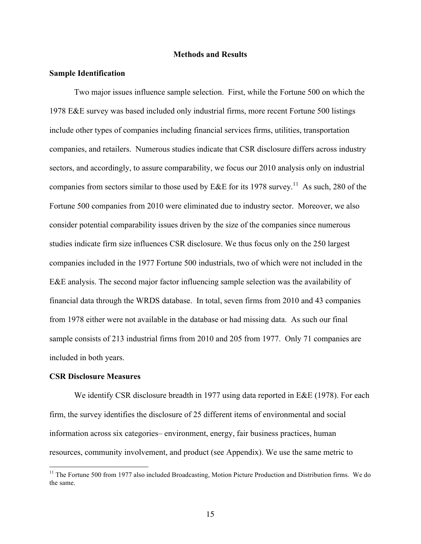#### **Methods and Results**

#### **Sample Identification**

Two major issues influence sample selection. First, while the Fortune 500 on which the 1978 E&E survey was based included only industrial firms, more recent Fortune 500 listings include other types of companies including financial services firms, utilities, transportation companies, and retailers. Numerous studies indicate that CSR disclosure differs across industry sectors, and accordingly, to assure comparability, we focus our 2010 analysis only on industrial companies from sectors similar to those used by E&E for its 1978 survey.<sup>11</sup> As such, 280 of the Fortune 500 companies from 2010 were eliminated due to industry sector. Moreover, we also consider potential comparability issues driven by the size of the companies since numerous studies indicate firm size influences CSR disclosure. We thus focus only on the 250 largest companies included in the 1977 Fortune 500 industrials, two of which were not included in the E&E analysis. The second major factor influencing sample selection was the availability of financial data through the WRDS database. In total, seven firms from 2010 and 43 companies from 1978 either were not available in the database or had missing data. As such our final sample consists of 213 industrial firms from 2010 and 205 from 1977. Only 71 companies are included in both years.

#### **CSR Disclosure Measures**

We identify CSR disclosure breadth in 1977 using data reported in E&E (1978). For each firm, the survey identifies the disclosure of 25 different items of environmental and social information across six categories– environment, energy, fair business practices, human resources, community involvement, and product (see Appendix). We use the same metric to

 $11$  The Fortune 500 from 1977 also included Broadcasting, Motion Picture Production and Distribution firms. We do the same.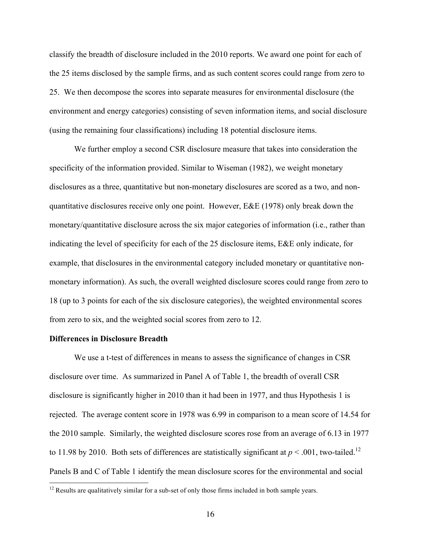classify the breadth of disclosure included in the 2010 reports. We award one point for each of the 25 items disclosed by the sample firms, and as such content scores could range from zero to 25. We then decompose the scores into separate measures for environmental disclosure (the environment and energy categories) consisting of seven information items, and social disclosure (using the remaining four classifications) including 18 potential disclosure items.

We further employ a second CSR disclosure measure that takes into consideration the specificity of the information provided. Similar to Wiseman (1982), we weight monetary disclosures as a three, quantitative but non-monetary disclosures are scored as a two, and nonquantitative disclosures receive only one point. However, E&E (1978) only break down the monetary/quantitative disclosure across the six major categories of information (i.e., rather than indicating the level of specificity for each of the 25 disclosure items, E&E only indicate, for example, that disclosures in the environmental category included monetary or quantitative nonmonetary information). As such, the overall weighted disclosure scores could range from zero to 18 (up to 3 points for each of the six disclosure categories), the weighted environmental scores from zero to six, and the weighted social scores from zero to 12.

### **Differences in Disclosure Breadth**

We use a t-test of differences in means to assess the significance of changes in CSR disclosure over time. As summarized in Panel A of Table 1, the breadth of overall CSR disclosure is significantly higher in 2010 than it had been in 1977, and thus Hypothesis 1 is rejected. The average content score in 1978 was 6.99 in comparison to a mean score of 14.54 for the 2010 sample. Similarly, the weighted disclosure scores rose from an average of 6.13 in 1977 to 11.98 by 2010. Both sets of differences are statistically significant at  $p < .001$ , two-tailed.<sup>12</sup> Panels B and C of Table 1 identify the mean disclosure scores for the environmental and social

<sup>&</sup>lt;sup>12</sup> Results are qualitatively similar for a sub-set of only those firms included in both sample years.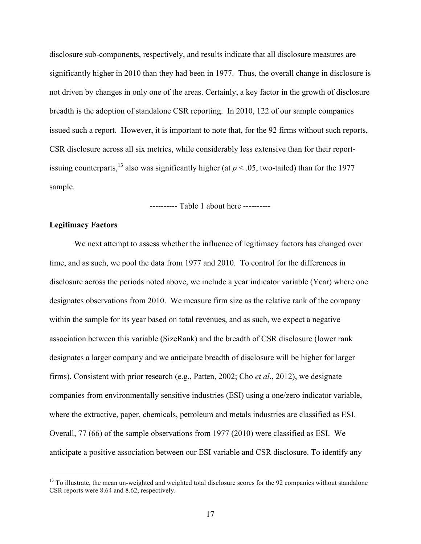disclosure sub-components, respectively, and results indicate that all disclosure measures are significantly higher in 2010 than they had been in 1977. Thus, the overall change in disclosure is not driven by changes in only one of the areas. Certainly, a key factor in the growth of disclosure breadth is the adoption of standalone CSR reporting. In 2010, 122 of our sample companies issued such a report. However, it is important to note that, for the 92 firms without such reports, CSR disclosure across all six metrics, while considerably less extensive than for their reportissuing counterparts, <sup>13</sup> also was significantly higher (at  $p < .05$ , two-tailed) than for the 1977 sample.

---------- Table 1 about here ----------

### **Legitimacy Factors**

We next attempt to assess whether the influence of legitimacy factors has changed over time, and as such, we pool the data from 1977 and 2010. To control for the differences in disclosure across the periods noted above, we include a year indicator variable (Year) where one designates observations from 2010. We measure firm size as the relative rank of the company within the sample for its year based on total revenues, and as such, we expect a negative association between this variable (SizeRank) and the breadth of CSR disclosure (lower rank designates a larger company and we anticipate breadth of disclosure will be higher for larger firms). Consistent with prior research (e.g., Patten, 2002; Cho *et al*., 2012), we designate companies from environmentally sensitive industries (ESI) using a one/zero indicator variable, where the extractive, paper, chemicals, petroleum and metals industries are classified as ESI. Overall, 77 (66) of the sample observations from 1977 (2010) were classified as ESI. We anticipate a positive association between our ESI variable and CSR disclosure. To identify any

<sup>&</sup>lt;sup>13</sup> To illustrate, the mean un-weighted and weighted total disclosure scores for the 92 companies without standalone CSR reports were 8.64 and 8.62, respectively.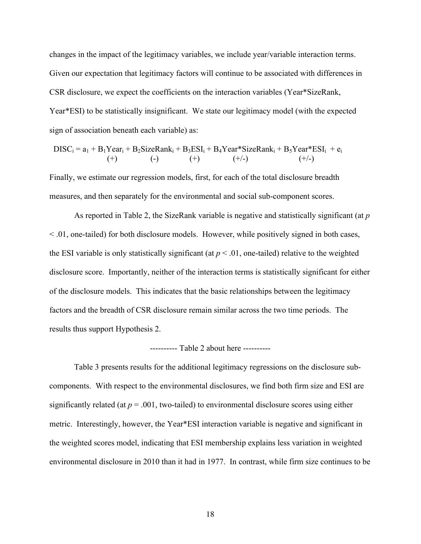changes in the impact of the legitimacy variables, we include year/variable interaction terms. Given our expectation that legitimacy factors will continue to be associated with differences in CSR disclosure, we expect the coefficients on the interaction variables (Year\*SizeRank, Year\*ESI) to be statistically insignificant. We state our legitimacy model (with the expected sign of association beneath each variable) as:

$$
DISC_i = a_1 + B_1Year_i + B_2SizeRank_i + B_3ESI_i + B_4Year*SizeRank_i + B_5Year*ESI_i + e_i
$$
  
(+) (+) (+) (+) (+)

Finally, we estimate our regression models, first, for each of the total disclosure breadth measures, and then separately for the environmental and social sub-component scores.

As reported in Table 2, the SizeRank variable is negative and statistically significant (at *p* < .01, one-tailed) for both disclosure models. However, while positively signed in both cases, the ESI variable is only statistically significant (at  $p < .01$ , one-tailed) relative to the weighted disclosure score. Importantly, neither of the interaction terms is statistically significant for either of the disclosure models. This indicates that the basic relationships between the legitimacy factors and the breadth of CSR disclosure remain similar across the two time periods. The results thus support Hypothesis 2.

### ---------- Table 2 about here ----------

Table 3 presents results for the additional legitimacy regressions on the disclosure subcomponents. With respect to the environmental disclosures, we find both firm size and ESI are significantly related (at  $p = .001$ , two-tailed) to environmental disclosure scores using either metric. Interestingly, however, the Year\*ESI interaction variable is negative and significant in the weighted scores model, indicating that ESI membership explains less variation in weighted environmental disclosure in 2010 than it had in 1977. In contrast, while firm size continues to be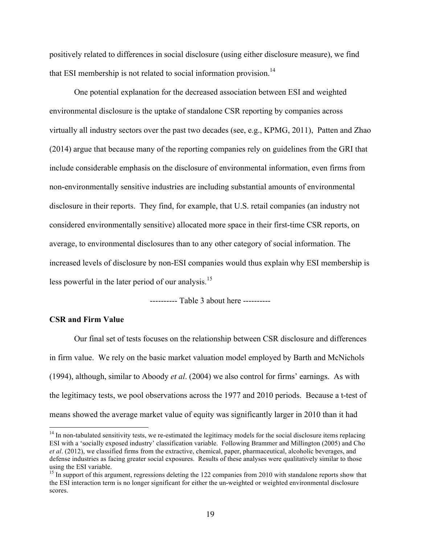positively related to differences in social disclosure (using either disclosure measure), we find that ESI membership is not related to social information provision.<sup>14</sup>

One potential explanation for the decreased association between ESI and weighted environmental disclosure is the uptake of standalone CSR reporting by companies across virtually all industry sectors over the past two decades (see, e.g., KPMG, 2011), Patten and Zhao (2014) argue that because many of the reporting companies rely on guidelines from the GRI that include considerable emphasis on the disclosure of environmental information, even firms from non-environmentally sensitive industries are including substantial amounts of environmental disclosure in their reports. They find, for example, that U.S. retail companies (an industry not considered environmentally sensitive) allocated more space in their first-time CSR reports, on average, to environmental disclosures than to any other category of social information. The increased levels of disclosure by non-ESI companies would thus explain why ESI membership is less powerful in the later period of our analysis.<sup>15</sup>

---------- Table 3 about here ----------

### **CSR and Firm Value**

Our final set of tests focuses on the relationship between CSR disclosure and differences in firm value. We rely on the basic market valuation model employed by Barth and McNichols (1994), although, similar to Aboody *et al*. (2004) we also control for firms' earnings. As with the legitimacy tests, we pool observations across the 1977 and 2010 periods. Because a t-test of means showed the average market value of equity was significantly larger in 2010 than it had

 $14$  In non-tabulated sensitivity tests, we re-estimated the legitimacy models for the social disclosure items replacing ESI with a 'socially exposed industry' classification variable. Following Brammer and Millington (2005) and Cho *et al*. (2012), we classified firms from the extractive, chemical, paper, pharmaceutical, alcoholic beverages, and defense industries as facing greater social exposures. Results of these analyses were qualitatively similar to those using the ESI variable.

<sup>&</sup>lt;sup>15</sup> In support of this argument, regressions deleting the 122 companies from 2010 with standalone reports show that the ESI interaction term is no longer significant for either the un-weighted or weighted environmental disclosure scores.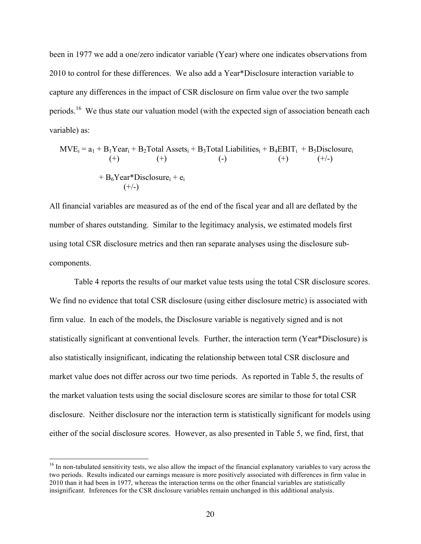been in 1977 we add a one/zero indicator variable (Year) where one indicates observations from 2010 to control for these differences. We also add a Year\*Disclosure interaction variable to capture any differences in the impact of CSR disclosure on firm value over the two sample periods.<sup>16</sup> We thus state our valuation model (with the expected sign of association beneath each variable) as:

$$
MVE_i = a_1 + B_1Year_i + B_2Total\,\,Assets_i + B_3Total\,\,Liabilities_i + B_4EBIT_i + B_5Disclosure_i(+) \qquad (+) \qquad (-) \qquad (+) \qquad (+) \qquad (+/)
$$
  
+ B<sub>6</sub>Year\*Disclosure<sub>i</sub> + e<sub>i</sub>  
(+)

All financial variables are measured as of the end of the fiscal year and all are deflated by the number of shares outstanding. Similar to the legitimacy analysis, we estimated models first using total CSR disclosure metrics and then ran separate analyses using the disclosure subcomponents.

Table 4 reports the results of our market value tests using the total CSR disclosure scores. We find no evidence that total CSR disclosure (using either disclosure metric) is associated with firm value. In each of the models, the Disclosure variable is negatively signed and is not statistically significant at conventional levels. Further, the interaction term (Year\*Disclosure) is also statistically insignificant, indicating the relationship between total CSR disclosure and market value does not differ across our two time periods. As reported in Table 5, the results of the market valuation tests using the social disclosure scores are similar to those for total CSR disclosure. Neither disclosure nor the interaction term is statistically significant for models using either of the social disclosure scores. However, as also presented in Table 5, we find, first, that

<sup>&</sup>lt;sup>16</sup> In non-tabulated sensitivity tests, we also allow the impact of the financial explanatory variables to vary across the two periods. Results indicated our earnings measure is more positively associated with differences in firm value in 2010 than it had been in 1977, whereas the interaction terms on the other financial variables are statistically insignificant. Inferences for the CSR disclosure variables remain unchanged in this additional analysis.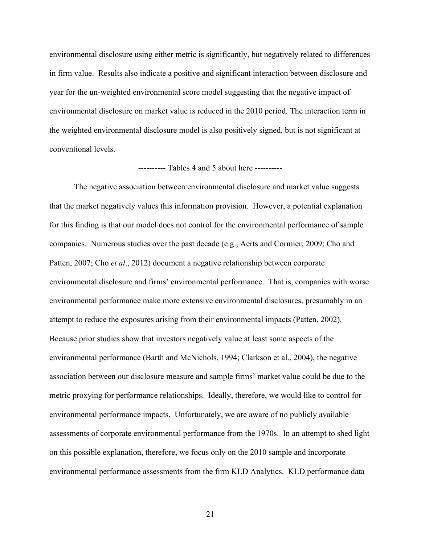environmental disclosure using either metric is significantly, but negatively related to differences in firm value. Results also indicate a positive and significant interaction between disclosure and year for the un-weighted environmental score model suggesting that the negative impact of environmental disclosure on market value is reduced in the 2010 period. The interaction term in the weighted environmental disclosure model is also positively signed, but is not significant at conventional levels.

#### ---------- Tables 4 and 5 about here ----------

The negative association between environmental disclosure and market value suggests that the market negatively values this information provision. However, a potential explanation for this finding is that our model does not control for the environmental performance of sample companies. Numerous studies over the past decade (e.g., Aerts and Cormier, 2009; Cho and Patten, 2007; Cho *et al*., 2012) document a negative relationship between corporate environmental disclosure and firms' environmental performance. That is, companies with worse environmental performance make more extensive environmental disclosures, presumably in an attempt to reduce the exposures arising from their environmental impacts (Patten, 2002). Because prior studies show that investors negatively value at least some aspects of the environmental performance (Barth and McNichols, 1994; Clarkson et al., 2004), the negative association between our disclosure measure and sample firms' market value could be due to the metric proxying for performance relationships. Ideally, therefore, we would like to control for environmental performance impacts. Unfortunately, we are aware of no publicly available assessments of corporate environmental performance from the 1970s. In an attempt to shed light on this possible explanation, therefore, we focus only on the 2010 sample and incorporate environmental performance assessments from the firm KLD Analytics. KLD performance data

21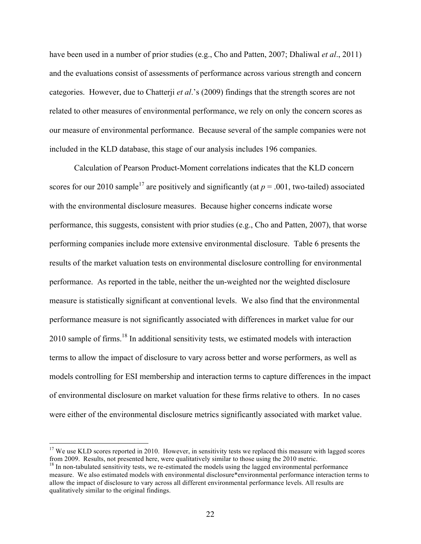have been used in a number of prior studies (e.g., Cho and Patten, 2007; Dhaliwal *et al*., 2011) and the evaluations consist of assessments of performance across various strength and concern categories. However, due to Chatterji *et al*.'s (2009) findings that the strength scores are not related to other measures of environmental performance, we rely on only the concern scores as our measure of environmental performance. Because several of the sample companies were not included in the KLD database, this stage of our analysis includes 196 companies.

Calculation of Pearson Product-Moment correlations indicates that the KLD concern scores for our 2010 sample<sup>17</sup> are positively and significantly (at  $p = .001$ , two-tailed) associated with the environmental disclosure measures. Because higher concerns indicate worse performance, this suggests, consistent with prior studies (e.g., Cho and Patten, 2007), that worse performing companies include more extensive environmental disclosure. Table 6 presents the results of the market valuation tests on environmental disclosure controlling for environmental performance. As reported in the table, neither the un-weighted nor the weighted disclosure measure is statistically significant at conventional levels. We also find that the environmental performance measure is not significantly associated with differences in market value for our 2010 sample of firms.<sup>18</sup> In additional sensitivity tests, we estimated models with interaction terms to allow the impact of disclosure to vary across better and worse performers, as well as models controlling for ESI membership and interaction terms to capture differences in the impact of environmental disclosure on market valuation for these firms relative to others. In no cases were either of the environmental disclosure metrics significantly associated with market value.

<sup>&</sup>lt;sup>17</sup> We use KLD scores reported in 2010. However, in sensitivity tests we replaced this measure with lagged scores from 2009. Results, not presented here, were qualitatively similar to those using the 2010 metric.

 $18$  In non-tabulated sensitivity tests, we re-estimated the models using the lagged environmental performance measure. We also estimated models with environmental disclosure\*environmental performance interaction terms to allow the impact of disclosure to vary across all different environmental performance levels. All results are qualitatively similar to the original findings.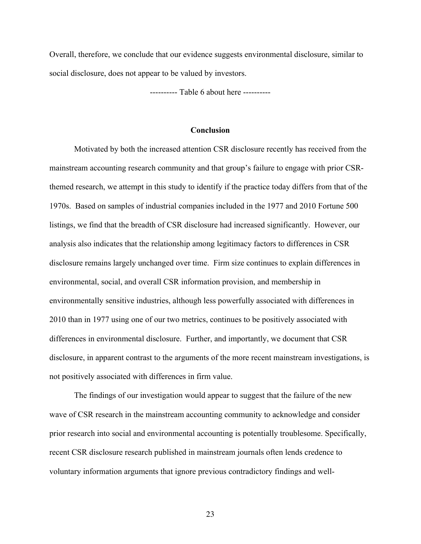Overall, therefore, we conclude that our evidence suggests environmental disclosure, similar to social disclosure, does not appear to be valued by investors.

---------- Table 6 about here ----------

#### **Conclusion**

Motivated by both the increased attention CSR disclosure recently has received from the mainstream accounting research community and that group's failure to engage with prior CSRthemed research, we attempt in this study to identify if the practice today differs from that of the 1970s. Based on samples of industrial companies included in the 1977 and 2010 Fortune 500 listings, we find that the breadth of CSR disclosure had increased significantly. However, our analysis also indicates that the relationship among legitimacy factors to differences in CSR disclosure remains largely unchanged over time. Firm size continues to explain differences in environmental, social, and overall CSR information provision, and membership in environmentally sensitive industries, although less powerfully associated with differences in 2010 than in 1977 using one of our two metrics, continues to be positively associated with differences in environmental disclosure. Further, and importantly, we document that CSR disclosure, in apparent contrast to the arguments of the more recent mainstream investigations, is not positively associated with differences in firm value.

The findings of our investigation would appear to suggest that the failure of the new wave of CSR research in the mainstream accounting community to acknowledge and consider prior research into social and environmental accounting is potentially troublesome. Specifically, recent CSR disclosure research published in mainstream journals often lends credence to voluntary information arguments that ignore previous contradictory findings and well-

23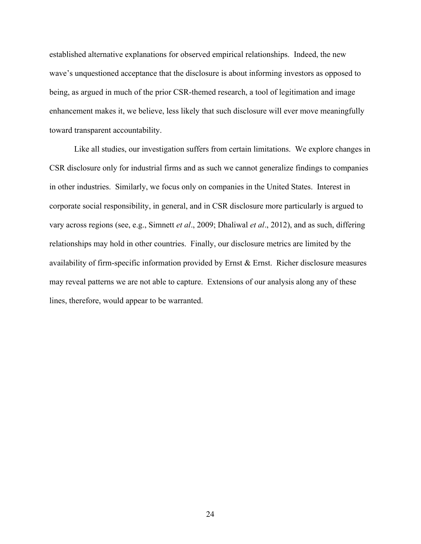established alternative explanations for observed empirical relationships. Indeed, the new wave's unquestioned acceptance that the disclosure is about informing investors as opposed to being, as argued in much of the prior CSR-themed research, a tool of legitimation and image enhancement makes it, we believe, less likely that such disclosure will ever move meaningfully toward transparent accountability.

Like all studies, our investigation suffers from certain limitations. We explore changes in CSR disclosure only for industrial firms and as such we cannot generalize findings to companies in other industries. Similarly, we focus only on companies in the United States. Interest in corporate social responsibility, in general, and in CSR disclosure more particularly is argued to vary across regions (see, e.g., Simnett *et al*., 2009; Dhaliwal *et al*., 2012), and as such, differing relationships may hold in other countries. Finally, our disclosure metrics are limited by the availability of firm-specific information provided by Ernst  $\&$  Ernst. Richer disclosure measures may reveal patterns we are not able to capture. Extensions of our analysis along any of these lines, therefore, would appear to be warranted.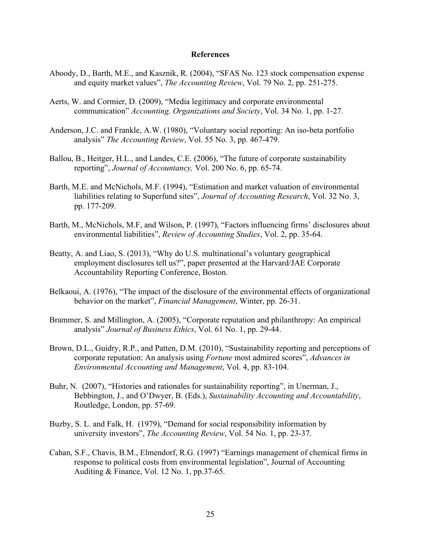#### **References**

- Aboody, D., Barth, M.E., and Kasznik, R. (2004), "SFAS No. 123 stock compensation expense and equity market values", *The Accounting Review*, Vol. 79 No. 2, pp. 251-275.
- Aerts, W. and Cormier, D. (2009), "Media legitimacy and corporate environmental communication" *Accounting, Organizations and Society*, Vol. 34 No. 1, pp. 1-27.
- Anderson, J.C. and Frankle, A.W. (1980), "Voluntary social reporting: An iso-beta portfolio analysis" *The Accounting Review*, Vol. 55 No. 3, pp. 467-479.
- Ballou, B., Heitger, H.L., and Landes, C.E. (2006), "The future of corporate sustainability reporting", *Journal of Accountancy,* Vol. 200 No. 6, pp. 65-74.
- Barth, M.E. and McNichols, M.F. (1994), "Estimation and market valuation of environmental liabilities relating to Superfund sites", *Journal of Accounting Research*, Vol. 32 No. 3, pp. 177-209.
- Barth, M., McNichols, M.F, and Wilson, P. (1997), "Factors influencing firms' disclosures about environmental liabilities", *Review of Accounting Studies*, Vol. 2, pp. 35-64.
- Beatty, A. and Liao, S. (2013), "Why do U.S. multinational's voluntary geographical employment disclosures tell us?", paper presented at the Harvard/JAE Corporate Accountability Reporting Conference, Boston.
- Belkaoui, A. (1976), "The impact of the disclosure of the environmental effects of organizational behavior on the market", *Financial Management*, Winter, pp. 26-31.
- Brammer, S. and Millington, A. (2005), "Corporate reputation and philanthropy: An empirical analysis" *Journal of Business Ethics*, Vol. 61 No. 1, pp. 29-44.
- Brown, D.L., Guidry, R.P., and Patten, D.M. (2010), "Sustainability reporting and perceptions of corporate reputation: An analysis using *Fortune* most admired scores", *Advances in Environmental Accounting and Management*, Vol. 4, pp. 83-104.
- Buhr, N. (2007), "Histories and rationales for sustainability reporting", in Unerman, J., Bebbington, J., and O'Dwyer, B. (Eds.), *Sustainability Accounting and Accountability*, Routledge, London, pp. 57-69.
- Buzby, S. L. and Falk, H. (1979), "Demand for social responsibility information by university investors", *The Accounting Review*, Vol. 54 No. 1, pp. 23-37.
- Cahan, S.F., Chavis, B.M., Elmendorf, R.G. (1997) "Earnings management of chemical firms in response to political costs from environmental legislation", Journal of Accounting Auditing & Finance, Vol. 12 No. 1, pp.37-65.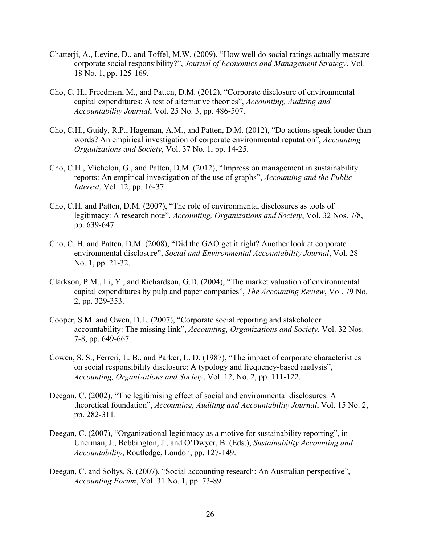- Chatterji, A., Levine, D., and Toffel, M.W. (2009), "How well do social ratings actually measure corporate social responsibility?", *Journal of Economics and Management Strategy*, Vol. 18 No. 1, pp. 125-169.
- Cho, C. H., Freedman, M., and Patten, D.M. (2012), "Corporate disclosure of environmental capital expenditures: A test of alternative theories", *Accounting, Auditing and Accountability Journal*, Vol. 25 No. 3, pp. 486-507.
- Cho, C.H., Guidy, R.P., Hageman, A.M., and Patten, D.M. (2012), "Do actions speak louder than words? An empirical investigation of corporate environmental reputation", *Accounting Organizations and Society*, Vol. 37 No. 1, pp. 14-25.
- Cho, C.H., Michelon, G., and Patten, D.M. (2012), "Impression management in sustainability reports: An empirical investigation of the use of graphs", *Accounting and the Public Interest*, Vol. 12, pp. 16-37.
- Cho, C.H. and Patten, D.M. (2007), "The role of environmental disclosures as tools of legitimacy: A research note", *Accounting, Organizations and Society*, Vol. 32 Nos. 7/8, pp. 639-647.
- Cho, C. H. and Patten, D.M. (2008), "Did the GAO get it right? Another look at corporate environmental disclosure", *Social and Environmental Accountability Journal*, Vol. 28 No. 1, pp. 21-32.
- Clarkson, P.M., Li, Y., and Richardson, G.D. (2004), "The market valuation of environmental capital expenditures by pulp and paper companies", *The Accounting Review*, Vol. 79 No. 2, pp. 329-353.
- Cooper, S.M. and Owen, D.L. (2007), "Corporate social reporting and stakeholder accountability: The missing link", *Accounting, Organizations and Society*, Vol. 32 Nos. 7-8, pp. 649-667.
- Cowen, S. S., Ferreri, L. B., and Parker, L. D. (1987), "The impact of corporate characteristics on social responsibility disclosure: A typology and frequency-based analysis", *Accounting, Organizations and Society*, Vol. 12, No. 2, pp. 111-122.
- Deegan, C. (2002), "The legitimising effect of social and environmental disclosures: A theoretical foundation", *Accounting, Auditing and Accountability Journal*, Vol. 15 No. 2, pp. 282-311.
- Deegan, C. (2007), "Organizational legitimacy as a motive for sustainability reporting", in Unerman, J., Bebbington, J., and O'Dwyer, B. (Eds.), *Sustainability Accounting and Accountability*, Routledge, London, pp. 127-149.
- Deegan, C. and Soltys, S. (2007), "Social accounting research: An Australian perspective", *Accounting Forum*, Vol. 31 No. 1, pp. 73-89.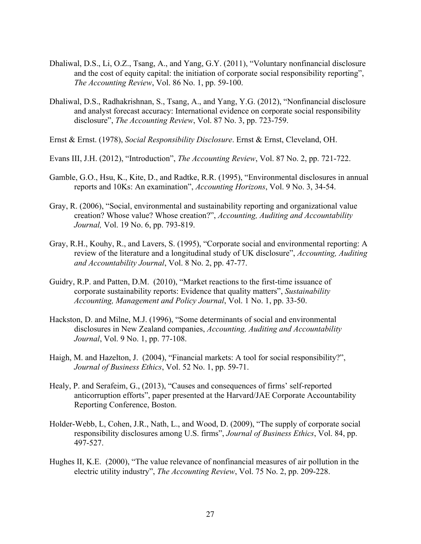- Dhaliwal, D.S., Li, O.Z., Tsang, A., and Yang, G.Y. (2011), "Voluntary nonfinancial disclosure and the cost of equity capital: the initiation of corporate social responsibility reporting", *The Accounting Review*, Vol. 86 No. 1, pp. 59-100.
- Dhaliwal, D.S., Radhakrishnan, S., Tsang, A., and Yang, Y.G. (2012), "Nonfinancial disclosure and analyst forecast accuracy: International evidence on corporate social responsibility disclosure", *The Accounting Review*, Vol. 87 No. 3, pp. 723-759.
- Ernst & Ernst. (1978), *Social Responsibility Disclosure*. Ernst & Ernst, Cleveland, OH.
- Evans III, J.H. (2012), "Introduction", *The Accounting Review*, Vol. 87 No. 2, pp. 721-722.
- Gamble, G.O., Hsu, K., Kite, D., and Radtke, R.R. (1995), "Environmental disclosures in annual reports and 10Ks: An examination", *Accounting Horizons*, Vol. 9 No. 3, 34-54.
- Gray, R. (2006), "Social, environmental and sustainability reporting and organizational value creation? Whose value? Whose creation?", *Accounting, Auditing and Accountability Journal,* Vol. 19 No. 6, pp. 793-819.
- Gray, R.H., Kouhy, R., and Lavers, S. (1995), "Corporate social and environmental reporting: A review of the literature and a longitudinal study of UK disclosure", *Accounting, Auditing and Accountability Journal*, Vol. 8 No. 2, pp. 47-77.
- Guidry, R.P. and Patten, D.M. (2010), "Market reactions to the first-time issuance of corporate sustainability reports: Evidence that quality matters", *Sustainability Accounting, Management and Policy Journal*, Vol. 1 No. 1, pp. 33-50.
- Hackston, D. and Milne, M.J. (1996), "Some determinants of social and environmental disclosures in New Zealand companies, *Accounting, Auditing and Accountability Journal*, Vol. 9 No. 1, pp. 77-108.
- Haigh, M. and Hazelton, J. (2004), "Financial markets: A tool for social responsibility?", *Journal of Business Ethics*, Vol. 52 No. 1, pp. 59-71.
- Healy, P. and Serafeim, G., (2013), "Causes and consequences of firms' self-reported anticorruption efforts", paper presented at the Harvard/JAE Corporate Accountability Reporting Conference, Boston.
- Holder-Webb, L, Cohen, J.R., Nath, L., and Wood, D. (2009), "The supply of corporate social responsibility disclosures among U.S. firms", *Journal of Business Ethics*, Vol. 84, pp. 497-527.
- Hughes II, K.E. (2000), "The value relevance of nonfinancial measures of air pollution in the electric utility industry", *The Accounting Review*, Vol. 75 No. 2, pp. 209-228.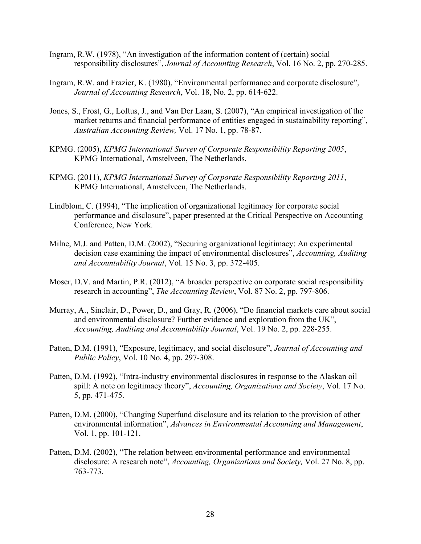- Ingram, R.W. (1978), "An investigation of the information content of (certain) social responsibility disclosures", *Journal of Accounting Research*, Vol. 16 No. 2, pp. 270-285.
- Ingram, R.W. and Frazier, K. (1980), "Environmental performance and corporate disclosure", *Journal of Accounting Research*, Vol. 18, No. 2, pp. 614-622.
- Jones, S., Frost, G., Loftus, J., and Van Der Laan, S. (2007), "An empirical investigation of the market returns and financial performance of entities engaged in sustainability reporting", *Australian Accounting Review,* Vol. 17 No. 1, pp. 78-87.
- KPMG. (2005), *KPMG International Survey of Corporate Responsibility Reporting 2005*, KPMG International, Amstelveen, The Netherlands.
- KPMG. (2011), *KPMG International Survey of Corporate Responsibility Reporting 2011*, KPMG International, Amstelveen, The Netherlands.
- Lindblom, C. (1994), "The implication of organizational legitimacy for corporate social performance and disclosure", paper presented at the Critical Perspective on Accounting Conference, New York.
- Milne, M.J. and Patten, D.M. (2002), "Securing organizational legitimacy: An experimental decision case examining the impact of environmental disclosures", *Accounting, Auditing and Accountability Journal*, Vol. 15 No. 3, pp. 372-405.
- Moser, D.V. and Martin, P.R. (2012), "A broader perspective on corporate social responsibility research in accounting", *The Accounting Review*, Vol. 87 No. 2, pp. 797-806.
- Murray, A., Sinclair, D., Power, D., and Gray, R. (2006), "Do financial markets care about social and environmental disclosure? Further evidence and exploration from the UK", *Accounting, Auditing and Accountability Journal*, Vol. 19 No. 2, pp. 228-255.
- Patten, D.M. (1991), "Exposure, legitimacy, and social disclosure", *Journal of Accounting and Public Policy*, Vol. 10 No. 4, pp. 297-308.
- Patten, D.M. (1992), "Intra-industry environmental disclosures in response to the Alaskan oil spill: A note on legitimacy theory", *Accounting, Organizations and Society*, Vol. 17 No. 5, pp. 471-475.
- Patten, D.M. (2000), "Changing Superfund disclosure and its relation to the provision of other environmental information", *Advances in Environmental Accounting and Management*, Vol. 1, pp. 101-121.
- Patten, D.M. (2002), "The relation between environmental performance and environmental disclosure: A research note", *Accounting, Organizations and Society,* Vol. 27 No. 8, pp. 763-773.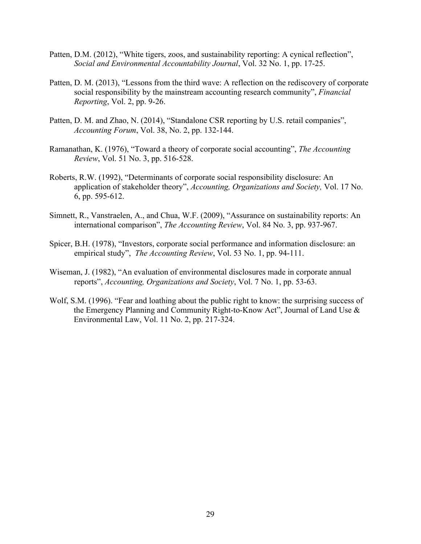- Patten, D.M. (2012), "White tigers, zoos, and sustainability reporting: A cynical reflection", *Social and Environmental Accountability Journal*, Vol. 32 No. 1, pp. 17-25.
- Patten, D. M. (2013), "Lessons from the third wave: A reflection on the rediscovery of corporate social responsibility by the mainstream accounting research community", *Financial Reporting*, Vol. 2, pp. 9-26.
- Patten, D. M. and Zhao, N. (2014), "Standalone CSR reporting by U.S. retail companies", *Accounting Forum*, Vol. 38, No. 2, pp. 132-144.
- Ramanathan, K. (1976), "Toward a theory of corporate social accounting", *The Accounting Review*, Vol. 51 No. 3, pp. 516-528.
- Roberts, R.W. (1992), "Determinants of corporate social responsibility disclosure: An application of stakeholder theory", *Accounting, Organizations and Society,* Vol. 17 No. 6, pp. 595-612.
- Simnett, R., Vanstraelen, A., and Chua, W.F. (2009), "Assurance on sustainability reports: An international comparison", *The Accounting Review*, Vol. 84 No. 3, pp. 937-967.
- Spicer, B.H. (1978), "Investors, corporate social performance and information disclosure: an empirical study", *The Accounting Review*, Vol. 53 No. 1, pp. 94-111.
- Wiseman, J. (1982), "An evaluation of environmental disclosures made in corporate annual reports", *Accounting, Organizations and Society*, Vol. 7 No. 1, pp. 53-63.
- Wolf, S.M. (1996). "Fear and loathing about the public right to know: the surprising success of the Emergency Planning and Community Right-to-Know Act", Journal of Land Use & Environmental Law, Vol. 11 No. 2, pp. 217-324.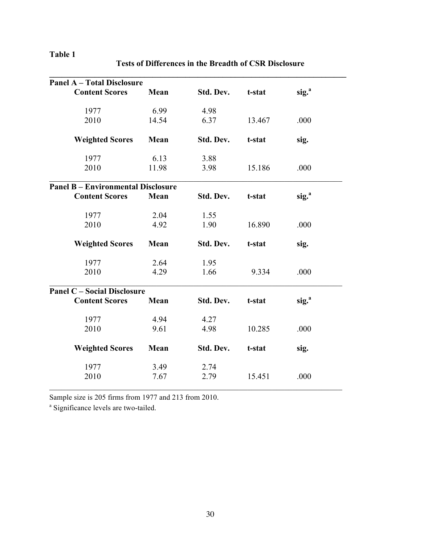# **Table 1**

| <b>Panel A - Total Disclosure</b>         |       |           |        |                   |
|-------------------------------------------|-------|-----------|--------|-------------------|
| <b>Content Scores</b>                     | Mean  | Std. Dev. | t-stat | sig. <sup>a</sup> |
| 1977                                      | 6.99  | 4.98      |        |                   |
| 2010                                      | 14.54 | 6.37      | 13.467 | .000              |
| <b>Weighted Scores</b>                    | Mean  | Std. Dev. | t-stat | sig.              |
| 1977                                      | 6.13  | 3.88      |        |                   |
| 2010                                      | 11.98 | 3.98      | 15.186 | .000              |
| <b>Panel B - Environmental Disclosure</b> |       |           |        |                   |
| <b>Content Scores</b>                     | Mean  | Std. Dev. | t-stat | sig. <sup>a</sup> |
| 1977                                      | 2.04  | 1.55      |        |                   |
| 2010                                      | 4.92  | 1.90      | 16.890 | .000              |
| <b>Weighted Scores</b>                    | Mean  | Std. Dev. | t-stat | sig.              |
| 1977                                      | 2.64  | 1.95      |        |                   |
| 2010                                      | 4.29  | 1.66      | 9.334  | .000              |
| <b>Panel C - Social Disclosure</b>        |       |           |        |                   |
| <b>Content Scores</b>                     | Mean  | Std. Dev. | t-stat | sig. <sup>a</sup> |
| 1977                                      | 4.94  | 4.27      |        |                   |
| 2010                                      | 9.61  | 4.98      | 10.285 | .000              |
| <b>Weighted Scores</b>                    | Mean  | Std. Dev. | t-stat | sig.              |
| 1977                                      | 3.49  | 2.74      |        |                   |
| 2010                                      | 7.67  | 2.79      | 15.451 | .000              |

**Tests of Differences in the Breadth of CSR Disclosure**

Sample size is 205 firms from 1977 and 213 from 2010.

<sup>a</sup> Significance levels are two-tailed.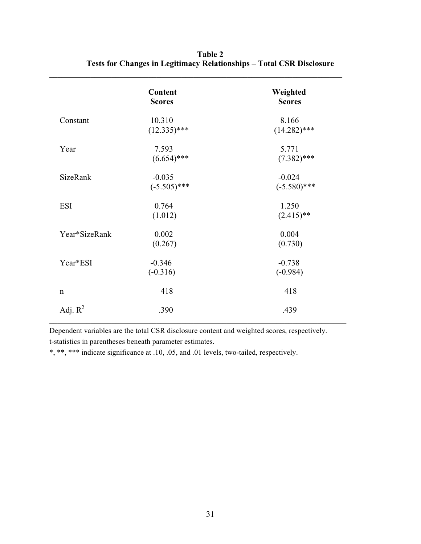|                 | <b>Content</b><br><b>Scores</b> | Weighted<br><b>Scores</b> |
|-----------------|---------------------------------|---------------------------|
| Constant        | 10.310<br>$(12.335)$ ***        | 8.166<br>$(14.282)$ ***   |
|                 |                                 |                           |
| Year            | 7.593                           | 5.771                     |
|                 | $(6.654)$ ***                   | $(7.382)$ ***             |
| <b>SizeRank</b> | $-0.035$                        | $-0.024$                  |
|                 | $(-5.505)$ ***                  | $(-5.580)$ ***            |
| <b>ESI</b>      | 0.764                           | 1.250                     |
|                 | (1.012)                         | $(2.415)$ **              |
| Year*SizeRank   | 0.002                           | 0.004                     |
|                 | (0.267)                         | (0.730)                   |
| Year*ESI        | $-0.346$                        | $-0.738$                  |
|                 | $(-0.316)$                      | $(-0.984)$                |
| $\mathbf n$     | 418                             | 418                       |
| Adj. $R^2$      | .390                            | .439                      |

**Table 2 Tests for Changes in Legitimacy Relationships – Total CSR Disclosure**

 $\mathcal{L}_\text{max} = \mathcal{L}_\text{max} = \mathcal{L}_\text{max} = \mathcal{L}_\text{max} = \mathcal{L}_\text{max} = \mathcal{L}_\text{max} = \mathcal{L}_\text{max} = \mathcal{L}_\text{max} = \mathcal{L}_\text{max} = \mathcal{L}_\text{max} = \mathcal{L}_\text{max} = \mathcal{L}_\text{max} = \mathcal{L}_\text{max} = \mathcal{L}_\text{max} = \mathcal{L}_\text{max} = \mathcal{L}_\text{max} = \mathcal{L}_\text{max} = \mathcal{L}_\text{max} = \mathcal{$ 

Dependent variables are the total CSR disclosure content and weighted scores, respectively. t-statistics in parentheses beneath parameter estimates.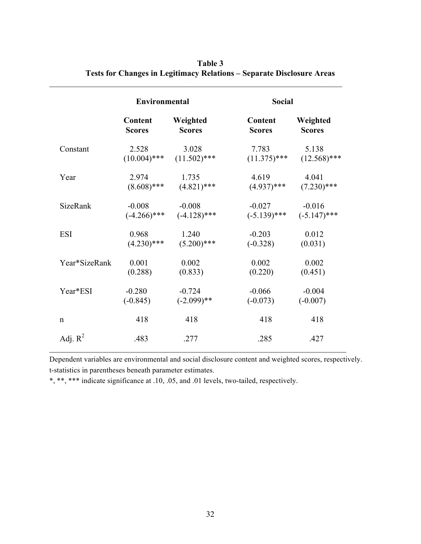|                 | <b>Environmental</b> |                | <b>Social</b>  |                |  |
|-----------------|----------------------|----------------|----------------|----------------|--|
|                 | <b>Content</b>       | Weighted       | Content        | Weighted       |  |
|                 | <b>Scores</b>        | <b>Scores</b>  | <b>Scores</b>  | <b>Scores</b>  |  |
| Constant        | 2.528                | 3.028          | 7.783          | 5.138          |  |
|                 | $(10.004)$ ***       | $(11.502)$ *** | $(11.375)$ *** | $(12.568)$ *** |  |
| Year            | 2.974                | 1.735          | 4.619          | 4.041          |  |
|                 | $(8.608)$ ***        | $(4.821)$ ***  | $(4.937)$ ***  | $(7.230)$ ***  |  |
| <b>SizeRank</b> | $-0.008$             | $-0.008$       | $-0.027$       | $-0.016$       |  |
|                 | $(-4.266)$ ***       | $(-4.128)$ *** | $(-5.139)$ *** | $(-5.147)$ *** |  |
| <b>ESI</b>      | 0.968                | 1.240          | $-0.203$       | 0.012          |  |
|                 | $(4.230)$ ***        | $(5.200)$ ***  | $(-0.328)$     | (0.031)        |  |
| Year*SizeRank   | 0.001                | 0.002          | 0.002          | 0.002          |  |
|                 | (0.288)              | (0.833)        | (0.220)        | (0.451)        |  |
| Year*ESI        | $-0.280$             | $-0.724$       | $-0.066$       | $-0.004$       |  |
|                 | $(-0.845)$           | $(-2.099)$ **  | $(-0.073)$     | $(-0.007)$     |  |
| $\mathbf n$     | 418                  | 418            | 418            | 418            |  |
| Adj. $R^2$      | .483                 | .277           | .285           | .427           |  |

| Table 3                                                                      |
|------------------------------------------------------------------------------|
| <b>Tests for Changes in Legitimacy Relations – Separate Disclosure Areas</b> |

 $\_$  , and the set of the set of the set of the set of the set of the set of the set of the set of the set of the set of the set of the set of the set of the set of the set of the set of the set of the set of the set of th

Dependent variables are environmental and social disclosure content and weighted scores, respectively. t-statistics in parentheses beneath parameter estimates.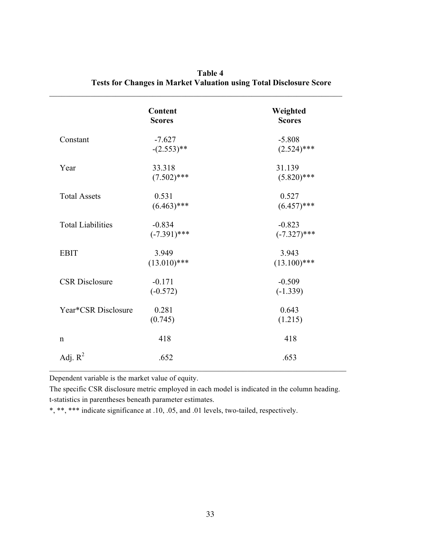|                          | <b>Content</b><br><b>Scores</b> | Weighted<br><b>Scores</b>  |
|--------------------------|---------------------------------|----------------------------|
| Constant                 | $-7.627$<br>$-(2.553)**$        | $-5.808$<br>$(2.524)$ ***  |
| Year                     | 33.318<br>$(7.502)$ ***         | 31.139<br>$(5.820)$ ***    |
| <b>Total Assets</b>      | 0.531<br>$(6.463)$ ***          | 0.527<br>$(6.457)$ ***     |
| <b>Total Liabilities</b> | $-0.834$<br>$(-7.391)$ ***      | $-0.823$<br>$(-7.327)$ *** |
| <b>EBIT</b>              | 3.949<br>$(13.010)$ ***         | 3.943<br>$(13.100)$ ***    |
| <b>CSR</b> Disclosure    | $-0.171$<br>$(-0.572)$          | $-0.509$<br>$(-1.339)$     |
| Year*CSR Disclosure      | 0.281<br>(0.745)                | 0.643<br>(1.215)           |
| $\mathbf n$              | 418                             | 418                        |
| Adj. $R^2$               | .652                            | .653                       |

**Table 4 Tests for Changes in Market Valuation using Total Disclosure Score**

 $\_$  , and the set of the set of the set of the set of the set of the set of the set of the set of the set of the set of the set of the set of the set of the set of the set of the set of the set of the set of the set of th

Dependent variable is the market value of equity.

The specific CSR disclosure metric employed in each model is indicated in the column heading. t-statistics in parentheses beneath parameter estimates.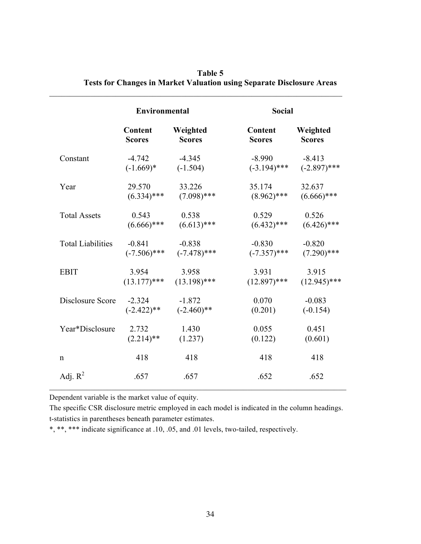|                          | <b>Environmental</b> |                | <b>Social</b>  |                |
|--------------------------|----------------------|----------------|----------------|----------------|
|                          | <b>Content</b>       | Weighted       | Content        | Weighted       |
|                          | <b>Scores</b>        | <b>Scores</b>  | <b>Scores</b>  | <b>Scores</b>  |
| Constant                 | $-4.742$             | $-4.345$       | $-8.990$       | $-8.413$       |
|                          | $(-1.669)*$          | $(-1.504)$     | $(-3.194)$ *** | $(-2.897)$ *** |
| Year                     | 29.570               | 33.226         | 35.174         | 32.637         |
|                          | $(6.334)$ ***        | $(7.098)$ ***  | $(8.962)$ ***  | $(6.666)$ ***  |
| <b>Total Assets</b>      | 0.543                | 0.538          | 0.529          | 0.526          |
|                          | $(6.666)$ ***        | $(6.613)$ ***  | $(6.432)$ ***  | $(6.426)$ ***  |
| <b>Total Liabilities</b> | $-0.841$             | $-0.838$       | $-0.830$       | $-0.820$       |
|                          | $(-7.506)$ ***       | $(-7.478)$ *** | $(-7.357)$ *** | $(7.290)$ ***  |
| <b>EBIT</b>              | 3.954                | 3.958          | 3.931          | 3.915          |
|                          | $(13.177)$ ***       | $(13.198)$ *** | $(12.897)$ *** | $(12.945)$ *** |
| Disclosure Score         | $-2.324$             | $-1.872$       | 0.070          | $-0.083$       |
|                          | $(-2.422)$ **        | $(-2.460)$ **  | (0.201)        | $(-0.154)$     |
| Year*Disclosure          | 2.732                | 1.430          | 0.055          | 0.451          |
|                          | $(2.214)$ **         | (1.237)        | (0.122)        | (0.601)        |
| $\mathsf{n}$             | 418                  | 418            | 418            | 418            |
| Adj. $R^2$               | .657                 | .657           | .652           | .652           |

| Table 5                                                                      |
|------------------------------------------------------------------------------|
| <b>Tests for Changes in Market Valuation using Separate Disclosure Areas</b> |

 $\_$  , and the set of the set of the set of the set of the set of the set of the set of the set of the set of the set of the set of the set of the set of the set of the set of the set of the set of the set of the set of th

Dependent variable is the market value of equity.

The specific CSR disclosure metric employed in each model is indicated in the column headings. t-statistics in parentheses beneath parameter estimates.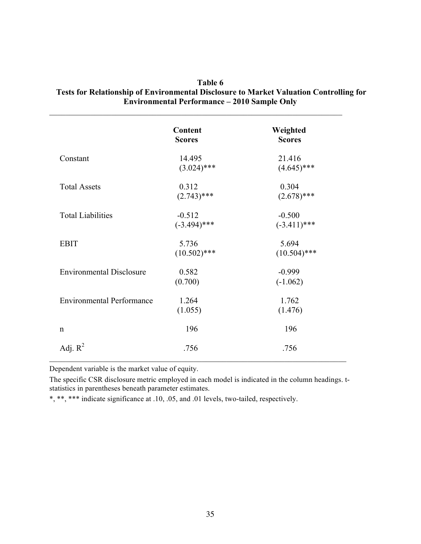|                                  | <b>Content</b><br><b>Scores</b> | Weighted<br><b>Scores</b>  |
|----------------------------------|---------------------------------|----------------------------|
| Constant                         | 14.495<br>$(3.024)$ ***         | 21.416<br>$(4.645)$ ***    |
| <b>Total Assets</b>              | 0.312<br>$(2.743)$ ***          | 0.304<br>$(2.678)$ ***     |
| <b>Total Liabilities</b>         | $-0.512$<br>$(-3.494)$ ***      | $-0.500$<br>$(-3.411)$ *** |
| <b>EBIT</b>                      | 5.736<br>$(10.502)$ ***         | 5.694<br>$(10.504)$ ***    |
| <b>Environmental Disclosure</b>  | 0.582<br>(0.700)                | $-0.999$<br>$(-1.062)$     |
| <b>Environmental Performance</b> | 1.264<br>(1.055)                | 1.762<br>(1.476)           |
| $\mathbf n$                      | 196                             | 196                        |
| Adj. $R^2$                       | .756                            | .756                       |

### **Table 6 Tests for Relationship of Environmental Disclosure to Market Valuation Controlling for Environmental Performance – 2010 Sample Only**

Dependent variable is the market value of equity.

The specific CSR disclosure metric employed in each model is indicated in the column headings. tstatistics in parentheses beneath parameter estimates.